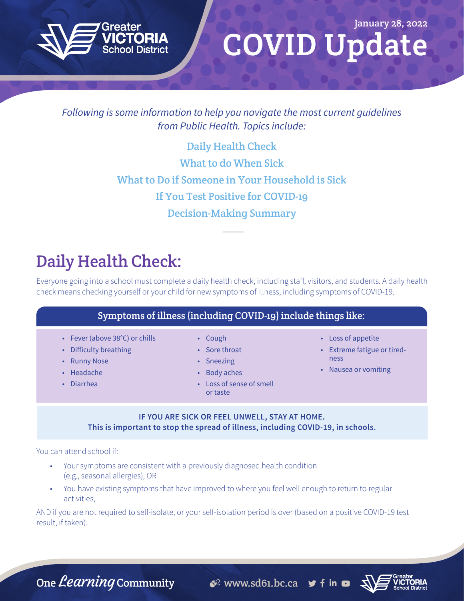

# COVID Update January 28, 2022

#### *Following is some information to help you navigate the most current guidelines from Public Health. Topics include:*

Daily Health Check [What to do When Sick](#page-1-0) [What to Do if Someone in Your Household is Sick](#page-1-0) [If You Test Positive for COVID-19](#page-2-0) [Decision-Making Summary](#page-3-0)

# Daily Health Check:

Everyone going into a school must complete a daily health check, including staff, visitors, and students. A daily health check means checking yourself or your child for new symptoms of illness, including symptoms of COVID-19.

| $\mid$ Symptoms of illness (including COVID-19) include things like: $\mid$ |  |
|-----------------------------------------------------------------------------|--|
|-----------------------------------------------------------------------------|--|

- Fever (above 38°C) or chills
- Difficulty breathing
- Runny Nose
- Headache
- Diarrhea
- Cough
- Sore throat
- Sneezing
- Body aches
- Loss of sense of smell or taste
- Loss of appetite
- Extreme fatigue or tiredness
- Nausea or vomiting

#### **IF YOU ARE SICK OR FEEL UNWELL, STAY AT HOME. This is important to stop the spread of illness, including COVID-19, in schools.**

You can attend school if:

- Your symptoms are consistent with a previously diagnosed health condition (e.g., seasonal allergies), OR
- You have existing symptoms that have improved to where you feel well enough to return to regular activities,

AND if you are not required to self-isolate, or your self-isolation period is over (based on a positive COVID-19 test result, if taken).

One *Learning* Community  $\mathcal{C}^2$  www.sd61.bc.ca  $\mathcal{C}$  f in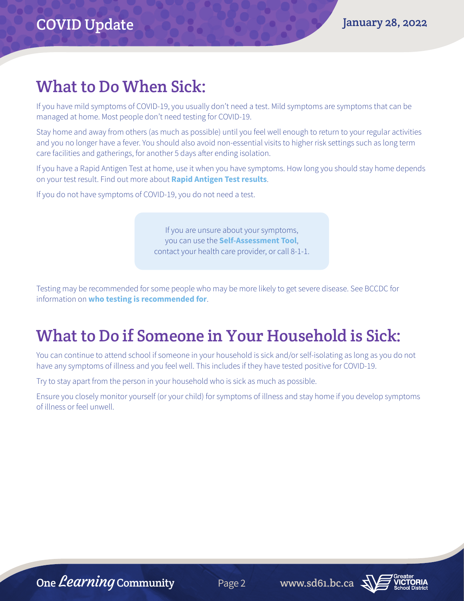### <span id="page-1-0"></span>What to Do When Sick:

If you have mild symptoms of COVID-19, you usually don't need a test. Mild symptoms are symptoms that can be managed at home. Most people don't need testing for COVID-19.

Stay home and away from others (as much as possible) until you feel well enough to return to your regular activities and you no longer have a fever. You should also avoid non-essential visits to higher risk settings such as long term care facilities and gatherings, for another 5 days after ending isolation.

If you have a Rapid Antigen Test at home, use it when you have symptoms. How long you should stay home depends on your test result. Find out more about **[Rapid Antigen Test results](http://www.bccdc.ca/health-info/diseases-conditions/covid-19/testing/rapid-antigen-testing#Test--results)**.

If you do not have symptoms of COVID-19, you do not need a test.

If you are unsure about your symptoms, you can use the **[Self-Assessment Tool](https://bc.thrive.health/covid19/en)**, contact your health care provider, or call 8-1-1.

Testing may be recommended for some people who may be more likely to get severe disease. See BCCDC for information on **[who testing is recommended for](http://www.bccdc.ca/health-info/diseases-conditions/covid-19/testing/when-to-get-a-covid-19-test)**.

## What to Do if Someone in Your Household is Sick:

You can continue to attend school if someone in your household is sick and/or self-isolating as long as you do not have any symptoms of illness and you feel well. This includes if they have tested positive for COVID-19.

Try to stay apart from the person in your household who is sick as much as possible.

Ensure you closely monitor yourself (or your child) for symptoms of illness and stay home if you develop symptoms of illness or feel unwell.

One *Learning* Community Page 2 www.sd61.bc.ca  $\sqrt{2}$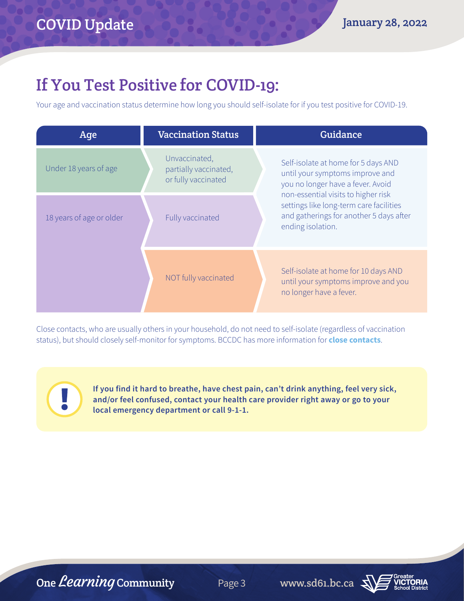## <span id="page-2-0"></span>If You Test Positive for COVID-19:

Your age and vaccination status determine how long you should self-isolate for if you test positive for COVID-19.

| Age                      | <b>Vaccination Status</b>                                     | Guidance                                                                                                                                                                                                                                                      |
|--------------------------|---------------------------------------------------------------|---------------------------------------------------------------------------------------------------------------------------------------------------------------------------------------------------------------------------------------------------------------|
| Under 18 years of age    | Unvaccinated,<br>partially vaccinated,<br>or fully vaccinated | Self-isolate at home for 5 days AND<br>until your symptoms improve and<br>you no longer have a fever. Avoid<br>non-essential visits to higher risk<br>settings like long-term care facilities<br>and gatherings for another 5 days after<br>ending isolation. |
| 18 years of age or older | Fully vaccinated                                              |                                                                                                                                                                                                                                                               |
|                          | NOT fully vaccinated                                          | Self-isolate at home for 10 days AND<br>until your symptoms improve and you<br>no longer have a fever.                                                                                                                                                        |

Close contacts, who are usually others in your household, do not need to self-isolate (regardless of vaccination status), but should closely self-monitor for symptoms. BCCDC has more information for **[close contacts](http://www.bccdc.ca/health-info/diseases-conditions/covid-19/self-isolation/close-contacts)**.

> **If you find it hard to breathe, have chest pain, can't drink anything, feel very sick, and/or feel confused, contact your health care provider right away or go to your local emergency department or call 9-1-1.**



Į